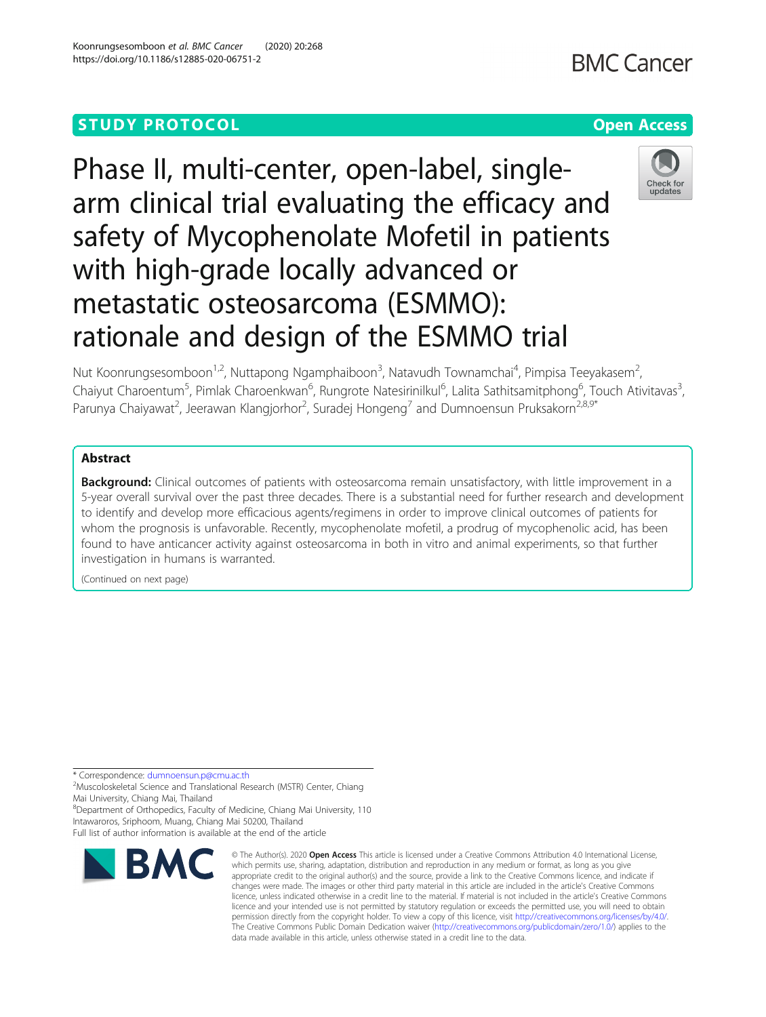# **STUDY PROTOCOL CONSUMING THE RESERVE ACCESS**

# Phase II, multi-center, open-label, singlearm clinical trial evaluating the efficacy and safety of Mycophenolate Mofetil in patients with high-grade locally advanced or metastatic osteosarcoma (ESMMO): rationale and design of the ESMMO trial

Nut Koonrungsesomboon<sup>1,2</sup>, Nuttapong Ngamphaiboon<sup>3</sup>, Natavudh Townamchai<sup>4</sup>, Pimpisa Teeyakasem<sup>2</sup> .<br>, Chaiyut Charoentum<sup>5</sup>, Pimlak Charoenkwan<sup>6</sup>, Rungrote Natesirinilkul<sup>6</sup>, Lalita Sathitsamitphong<sup>6</sup>, Touch Ativitavas<sup>3</sup> , Parunya Chaiyawat<sup>2</sup>, Jeerawan Klangjorhor<sup>2</sup>, Suradej Hongeng<sup>7</sup> and Dumnoensun Pruksakorn<sup>2,8,9\*</sup>

# Abstract

Background: Clinical outcomes of patients with osteosarcoma remain unsatisfactory, with little improvement in a 5-year overall survival over the past three decades. There is a substantial need for further research and development to identify and develop more efficacious agents/regimens in order to improve clinical outcomes of patients for whom the prognosis is unfavorable. Recently, mycophenolate mofetil, a prodrug of mycophenolic acid, has been found to have anticancer activity against osteosarcoma in both in vitro and animal experiments, so that further investigation in humans is warranted.

(Continued on next page)

\* Correspondence: [dumnoensun.p@cmu.ac.th](mailto:dumnoensun.p@cmu.ac.th) <sup>2</sup>

<sup>2</sup>Muscoloskeletal Science and Translational Research (MSTR) Center, Chiang Mai University, Chiang Mai, Thailand

8 Department of Orthopedics, Faculty of Medicine, Chiang Mai University, 110 Intawaroros, Sriphoom, Muang, Chiang Mai 50200, Thailand Full list of author information is available at the end of the article

© The Author(s), 2020 **Open Access** This article is licensed under a Creative Commons Attribution 4.0 International License, which permits use, sharing, adaptation, distribution and reproduction in any medium or format, as long as you give appropriate credit to the original author(s) and the source, provide a link to the Creative Commons licence, and indicate if changes were made. The images or other third party material in this article are included in the article's Creative Commons licence, unless indicated otherwise in a credit line to the material. If material is not included in the article's Creative Commons licence and your intended use is not permitted by statutory regulation or exceeds the permitted use, you will need to obtain permission directly from the copyright holder. To view a copy of this licence, visit [http://creativecommons.org/licenses/by/4.0/.](http://creativecommons.org/licenses/by/4.0/) The Creative Commons Public Domain Dedication waiver [\(http://creativecommons.org/publicdomain/zero/1.0/](http://creativecommons.org/publicdomain/zero/1.0/)) applies to the data made available in this article, unless otherwise stated in a credit line to the data.

Koonrungsesomboon et al. BMC Cancer (2020) 20:268 https://doi.org/10.1186/s12885-020-06751-2





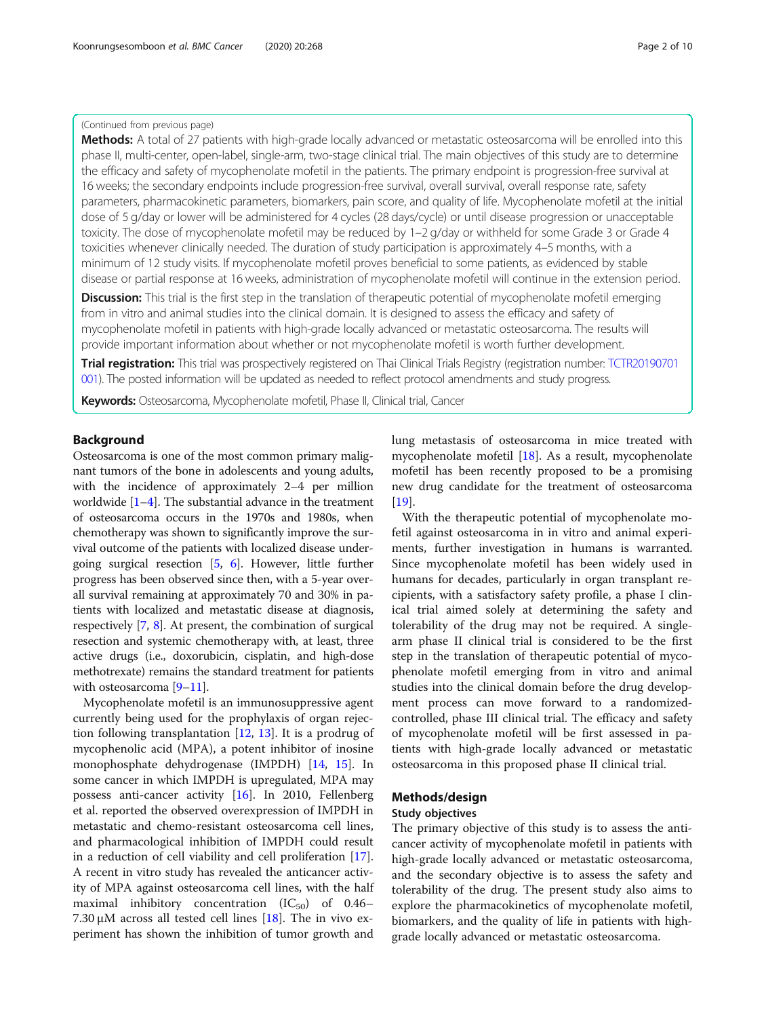#### (Continued from previous page)

Methods: A total of 27 patients with high-grade locally advanced or metastatic osteosarcoma will be enrolled into this phase II, multi-center, open-label, single-arm, two-stage clinical trial. The main objectives of this study are to determine the efficacy and safety of mycophenolate mofetil in the patients. The primary endpoint is progression-free survival at 16 weeks; the secondary endpoints include progression-free survival, overall survival, overall response rate, safety parameters, pharmacokinetic parameters, biomarkers, pain score, and quality of life. Mycophenolate mofetil at the initial dose of 5 g/day or lower will be administered for 4 cycles (28 days/cycle) or until disease progression or unacceptable toxicity. The dose of mycophenolate mofetil may be reduced by 1–2 g/day or withheld for some Grade 3 or Grade 4 toxicities whenever clinically needed. The duration of study participation is approximately 4–5 months, with a minimum of 12 study visits. If mycophenolate mofetil proves beneficial to some patients, as evidenced by stable disease or partial response at 16 weeks, administration of mycophenolate mofetil will continue in the extension period.

Discussion: This trial is the first step in the translation of therapeutic potential of mycophenolate mofetil emerging from in vitro and animal studies into the clinical domain. It is designed to assess the efficacy and safety of mycophenolate mofetil in patients with high-grade locally advanced or metastatic osteosarcoma. The results will provide important information about whether or not mycophenolate mofetil is worth further development.

Trial registration: This trial was prospectively registered on Thai Clinical Trials Registry (registration number: [TCTR20190701](https://www.clinicaltrials.in.th) [001\)](https://www.clinicaltrials.in.th). The posted information will be updated as needed to reflect protocol amendments and study progress.

Keywords: Osteosarcoma, Mycophenolate mofetil, Phase II, Clinical trial, Cancer

#### Background

Osteosarcoma is one of the most common primary malignant tumors of the bone in adolescents and young adults, with the incidence of approximately 2–4 per million worldwide  $[1-4]$  $[1-4]$  $[1-4]$  $[1-4]$ . The substantial advance in the treatment of osteosarcoma occurs in the 1970s and 1980s, when chemotherapy was shown to significantly improve the survival outcome of the patients with localized disease undergoing surgical resection [\[5](#page-8-0), [6\]](#page-8-0). However, little further progress has been observed since then, with a 5-year overall survival remaining at approximately 70 and 30% in patients with localized and metastatic disease at diagnosis, respectively [\[7](#page-8-0), [8\]](#page-8-0). At present, the combination of surgical resection and systemic chemotherapy with, at least, three active drugs (i.e., doxorubicin, cisplatin, and high-dose methotrexate) remains the standard treatment for patients with osteosarcoma [\[9](#page-8-0)–[11](#page-8-0)].

Mycophenolate mofetil is an immunosuppressive agent currently being used for the prophylaxis of organ rejection following transplantation [[12](#page-8-0), [13\]](#page-8-0). It is a prodrug of mycophenolic acid (MPA), a potent inhibitor of inosine monophosphate dehydrogenase (IMPDH) [[14,](#page-8-0) [15\]](#page-8-0). In some cancer in which IMPDH is upregulated, MPA may possess anti-cancer activity [[16](#page-8-0)]. In 2010, Fellenberg et al. reported the observed overexpression of IMPDH in metastatic and chemo-resistant osteosarcoma cell lines, and pharmacological inhibition of IMPDH could result in a reduction of cell viability and cell proliferation [\[17](#page-8-0)]. A recent in vitro study has revealed the anticancer activity of MPA against osteosarcoma cell lines, with the half maximal inhibitory concentration  $(IC_{50})$  of 0.46– 7.30 μM across all tested cell lines [[18\]](#page-8-0). The in vivo experiment has shown the inhibition of tumor growth and

lung metastasis of osteosarcoma in mice treated with mycophenolate mofetil [\[18](#page-8-0)]. As a result, mycophenolate mofetil has been recently proposed to be a promising new drug candidate for the treatment of osteosarcoma [[19\]](#page-8-0).

With the therapeutic potential of mycophenolate mofetil against osteosarcoma in in vitro and animal experiments, further investigation in humans is warranted. Since mycophenolate mofetil has been widely used in humans for decades, particularly in organ transplant recipients, with a satisfactory safety profile, a phase I clinical trial aimed solely at determining the safety and tolerability of the drug may not be required. A singlearm phase II clinical trial is considered to be the first step in the translation of therapeutic potential of mycophenolate mofetil emerging from in vitro and animal studies into the clinical domain before the drug development process can move forward to a randomizedcontrolled, phase III clinical trial. The efficacy and safety of mycophenolate mofetil will be first assessed in patients with high-grade locally advanced or metastatic osteosarcoma in this proposed phase II clinical trial.

#### Methods/design

#### Study objectives

The primary objective of this study is to assess the anticancer activity of mycophenolate mofetil in patients with high-grade locally advanced or metastatic osteosarcoma, and the secondary objective is to assess the safety and tolerability of the drug. The present study also aims to explore the pharmacokinetics of mycophenolate mofetil, biomarkers, and the quality of life in patients with highgrade locally advanced or metastatic osteosarcoma.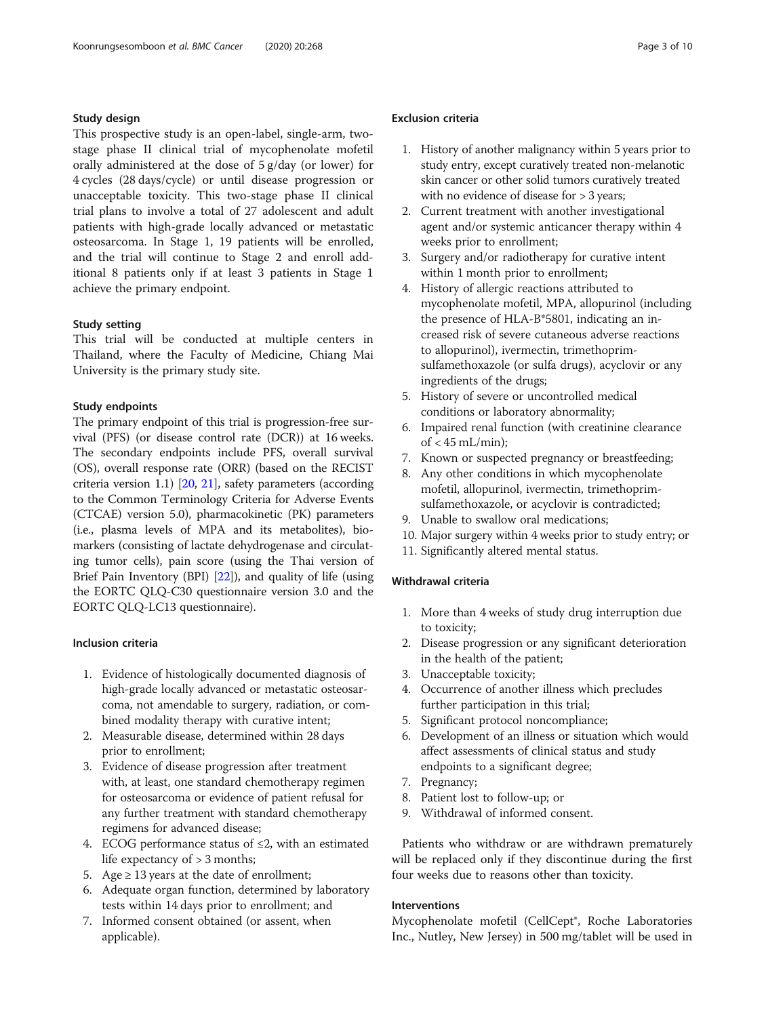#### Study design

This prospective study is an open-label, single-arm, twostage phase II clinical trial of mycophenolate mofetil orally administered at the dose of 5 g/day (or lower) for 4 cycles (28 days/cycle) or until disease progression or unacceptable toxicity. This two-stage phase II clinical trial plans to involve a total of 27 adolescent and adult patients with high-grade locally advanced or metastatic osteosarcoma. In Stage 1, 19 patients will be enrolled, and the trial will continue to Stage 2 and enroll additional 8 patients only if at least 3 patients in Stage 1 achieve the primary endpoint.

#### Study setting

This trial will be conducted at multiple centers in Thailand, where the Faculty of Medicine, Chiang Mai University is the primary study site.

#### Study endpoints

The primary endpoint of this trial is progression-free survival (PFS) (or disease control rate (DCR)) at 16 weeks. The secondary endpoints include PFS, overall survival (OS), overall response rate (ORR) (based on the RECIST criteria version 1.1) [[20](#page-8-0), [21](#page-8-0)], safety parameters (according to the Common Terminology Criteria for Adverse Events (CTCAE) version 5.0), pharmacokinetic (PK) parameters (i.e., plasma levels of MPA and its metabolites), biomarkers (consisting of lactate dehydrogenase and circulating tumor cells), pain score (using the Thai version of Brief Pain Inventory (BPI) [\[22\]](#page-8-0)), and quality of life (using the EORTC QLQ-C30 questionnaire version 3.0 and the EORTC QLQ-LC13 questionnaire).

#### Inclusion criteria

- 1. Evidence of histologically documented diagnosis of high-grade locally advanced or metastatic osteosarcoma, not amendable to surgery, radiation, or combined modality therapy with curative intent;
- 2. Measurable disease, determined within 28 days prior to enrollment;
- 3. Evidence of disease progression after treatment with, at least, one standard chemotherapy regimen for osteosarcoma or evidence of patient refusal for any further treatment with standard chemotherapy regimens for advanced disease;
- 4. ECOG performance status of  $\leq$ 2, with an estimated life expectancy of > 3 months;
- 5. Age  $\geq$  13 years at the date of enrollment;
- 6. Adequate organ function, determined by laboratory tests within 14 days prior to enrollment; and
- 7. Informed consent obtained (or assent, when applicable).

#### Exclusion criteria

- 1. History of another malignancy within 5 years prior to study entry, except curatively treated non-melanotic skin cancer or other solid tumors curatively treated with no evidence of disease for > 3 years;
- 2. Current treatment with another investigational agent and/or systemic anticancer therapy within 4 weeks prior to enrollment;
- 3. Surgery and/or radiotherapy for curative intent within 1 month prior to enrollment;
- 4. History of allergic reactions attributed to mycophenolate mofetil, MPA, allopurinol (including the presence of HLA-B\*5801, indicating an increased risk of severe cutaneous adverse reactions to allopurinol), ivermectin, trimethoprimsulfamethoxazole (or sulfa drugs), acyclovir or any ingredients of the drugs;
- 5. History of severe or uncontrolled medical conditions or laboratory abnormality;
- 6. Impaired renal function (with creatinine clearance of  $<$  45 mL/min);
- 7. Known or suspected pregnancy or breastfeeding;
- 8. Any other conditions in which mycophenolate mofetil, allopurinol, ivermectin, trimethoprimsulfamethoxazole, or acyclovir is contradicted;
- 9. Unable to swallow oral medications;
- 10. Major surgery within 4 weeks prior to study entry; or
- 11. Significantly altered mental status.

## Withdrawal criteria

- 1. More than 4 weeks of study drug interruption due to toxicity;
- 2. Disease progression or any significant deterioration in the health of the patient;
- 3. Unacceptable toxicity;
- 4. Occurrence of another illness which precludes further participation in this trial;
- 5. Significant protocol noncompliance;
- 6. Development of an illness or situation which would affect assessments of clinical status and study endpoints to a significant degree;
- 7. Pregnancy;
- 8. Patient lost to follow-up; or
- 9. Withdrawal of informed consent.

Patients who withdraw or are withdrawn prematurely will be replaced only if they discontinue during the first four weeks due to reasons other than toxicity.

#### Interventions

Mycophenolate mofetil (CellCept®, Roche Laboratories Inc., Nutley, New Jersey) in 500 mg/tablet will be used in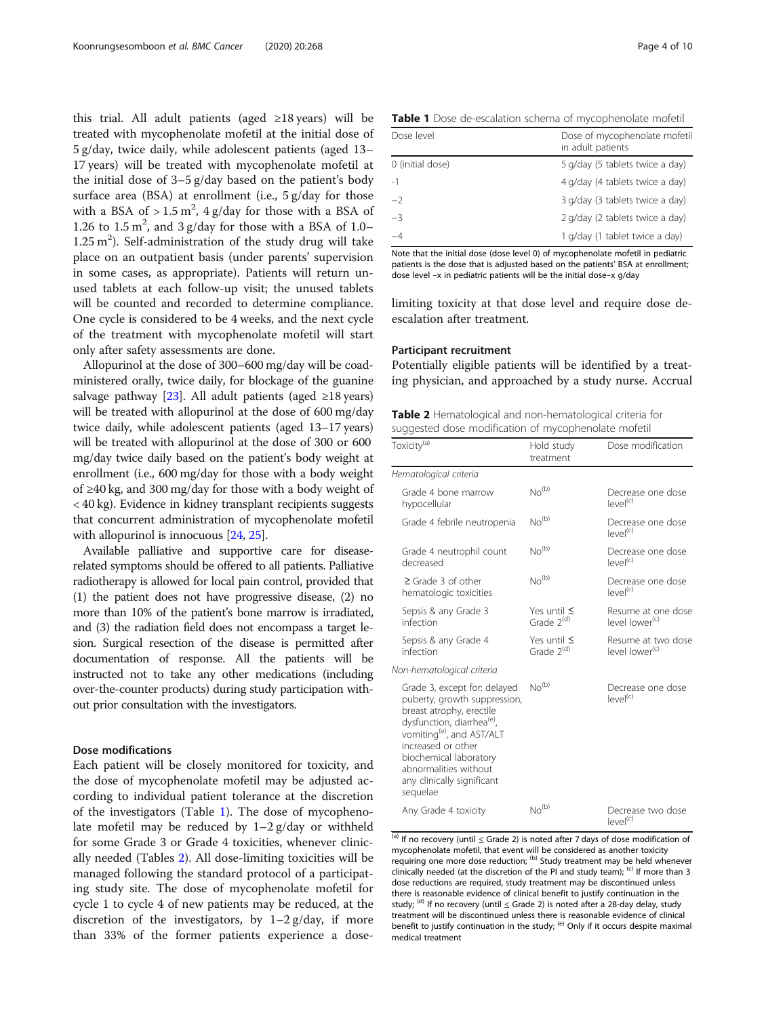this trial. All adult patients (aged ≥18 years) will be treated with mycophenolate mofetil at the initial dose of 5 g/day, twice daily, while adolescent patients (aged 13– 17 years) will be treated with mycophenolate mofetil at the initial dose of 3–5 g/day based on the patient's body surface area (BSA) at enrollment (i.e., 5 g/day for those with a BSA of  $> 1.5 \text{ m}^2$ , 4 g/day for those with a BSA of 1.26 to  $1.5 \text{ m}^2$ , and  $3 \text{ g/day}$  for those with a BSA of 1.0–  $1.25 \text{ m}^2$ ). Self-administration of the study drug will take place on an outpatient basis (under parents' supervision in some cases, as appropriate). Patients will return unused tablets at each follow-up visit; the unused tablets will be counted and recorded to determine compliance. One cycle is considered to be 4 weeks, and the next cycle of the treatment with mycophenolate mofetil will start only after safety assessments are done.

Allopurinol at the dose of 300–600 mg/day will be coadministered orally, twice daily, for blockage of the guanine salvage pathway [\[23](#page-8-0)]. All adult patients (aged  $\geq$ 18 years) will be treated with allopurinol at the dose of 600 mg/day twice daily, while adolescent patients (aged 13–17 years) will be treated with allopurinol at the dose of 300 or 600 mg/day twice daily based on the patient's body weight at enrollment (i.e., 600 mg/day for those with a body weight of ≥40 kg, and 300 mg/day for those with a body weight of < 40 kg). Evidence in kidney transplant recipients suggests that concurrent administration of mycophenolate mofetil with allopurinol is innocuous [\[24,](#page-8-0) [25](#page-8-0)].

Available palliative and supportive care for diseaserelated symptoms should be offered to all patients. Palliative radiotherapy is allowed for local pain control, provided that (1) the patient does not have progressive disease, (2) no more than 10% of the patient's bone marrow is irradiated, and (3) the radiation field does not encompass a target lesion. Surgical resection of the disease is permitted after documentation of response. All the patients will be instructed not to take any other medications (including over-the-counter products) during study participation without prior consultation with the investigators.

#### Dose modifications

Each patient will be closely monitored for toxicity, and the dose of mycophenolate mofetil may be adjusted according to individual patient tolerance at the discretion of the investigators (Table 1). The dose of mycophenolate mofetil may be reduced by 1–2 g/day or withheld for some Grade 3 or Grade 4 toxicities, whenever clinically needed (Tables 2). All dose-limiting toxicities will be managed following the standard protocol of a participating study site. The dose of mycophenolate mofetil for cycle 1 to cycle 4 of new patients may be reduced, at the discretion of the investigators, by  $1-2$  g/day, if more than 33% of the former patients experience a dose-

| Dose level       | Dose of mycophenolate mofetil<br>in adult patients |
|------------------|----------------------------------------------------|
| 0 (initial dose) | 5 g/day (5 tablets twice a day)                    |
| -1               | 4 g/day (4 tablets twice a day)                    |
| $-2$             | 3 g/day (3 tablets twice a day)                    |
| $-3$             | 2 g/day (2 tablets twice a day)                    |
| $-4$             | 1 g/day (1 tablet twice a day)                     |

Note that the initial dose (dose level 0) of mycophenolate mofetil in pediatric patients is the dose that is adjusted based on the patients' BSA at enrollment; dose level –x in pediatric patients will be the initial dose–x g/day

limiting toxicity at that dose level and require dose deescalation after treatment.

#### Participant recruitment

Potentially eligible patients will be identified by a treating physician, and approached by a study nurse. Accrual

|  |                                                      | <b>Table 2</b> Hematological and non-hematological criteria for |
|--|------------------------------------------------------|-----------------------------------------------------------------|
|  | suggested dose modification of mycophenolate mofetil |                                                                 |

| Toxicity <sup>(a)</sup>                                                                                                                                                                                                                                                                        | Hold study<br>treatment                    | Dose modification                                |
|------------------------------------------------------------------------------------------------------------------------------------------------------------------------------------------------------------------------------------------------------------------------------------------------|--------------------------------------------|--------------------------------------------------|
| Hematological criteria                                                                                                                                                                                                                                                                         |                                            |                                                  |
| Grade 4 bone marrow<br>hypocellular                                                                                                                                                                                                                                                            | $No^{(b)}$                                 | Decrease one dose<br>$ $ evel $^{(c)}$           |
| Grade 4 febrile neutropenia                                                                                                                                                                                                                                                                    | No <sup>(b)</sup>                          | Decrease one dose<br>level <sup>(c)</sup>        |
| Grade 4 neutrophil count<br>decreased                                                                                                                                                                                                                                                          | No <sup>(b)</sup>                          | Decrease one dose<br>level <sup>(c)</sup>        |
| $\geq$ Grade 3 of other<br>hematologic toxicities                                                                                                                                                                                                                                              | No <sup>(b)</sup>                          | Decrease one dose<br>level <sup>(c)</sup>        |
| Sepsis & any Grade 3<br>infection                                                                                                                                                                                                                                                              | Yes until $\leq$<br>Grade 2 <sup>(d)</sup> | Resume at one dose<br>level lower <sup>(c)</sup> |
| Sepsis & any Grade 4<br>infection                                                                                                                                                                                                                                                              | Yes until $\leq$<br>Grade 2 <sup>(d)</sup> | Resume at two dose<br>level lower <sup>(c)</sup> |
| Non-hematological criteria                                                                                                                                                                                                                                                                     |                                            |                                                  |
| Grade 3, except for: delayed<br>puberty, growth suppression,<br>breast atrophy, erectile<br>dysfunction, diarrhea <sup>(e)</sup> ,<br>vomiting <sup>(e)</sup> , and AST/ALT<br>increased or other<br>biochemical laboratory<br>abnormalities without<br>any clinically significant<br>sequelae | $No^{(b)}$                                 | Decrease one dose<br>$ eVe ^{(c)}$               |
| Any Grade 4 toxicity                                                                                                                                                                                                                                                                           | $No^{(b)}$                                 | Decrease two dose<br>$ P ^{(C)}$                 |

(a) If no recovery (until  $\leq$  Grade 2) is noted after 7 days of dose modification of mycophenolate mofetil, that event will be considered as another toxicity requiring one more dose reduction; (b) Study treatment may be held whenever clinically needed (at the discretion of the PI and study team);  $(c)$  If more than 3 dose reductions are required, study treatment may be discontinued unless there is reasonable evidence of clinical benefit to justify continuation in the study; (d) If no recovery (until  $\leq$  Grade 2) is noted after a 28-day delay, study treatment will be discontinued unless there is reasonable evidence of clinical benefit to justify continuation in the study; (e) Only if it occurs despite maximal medical treatment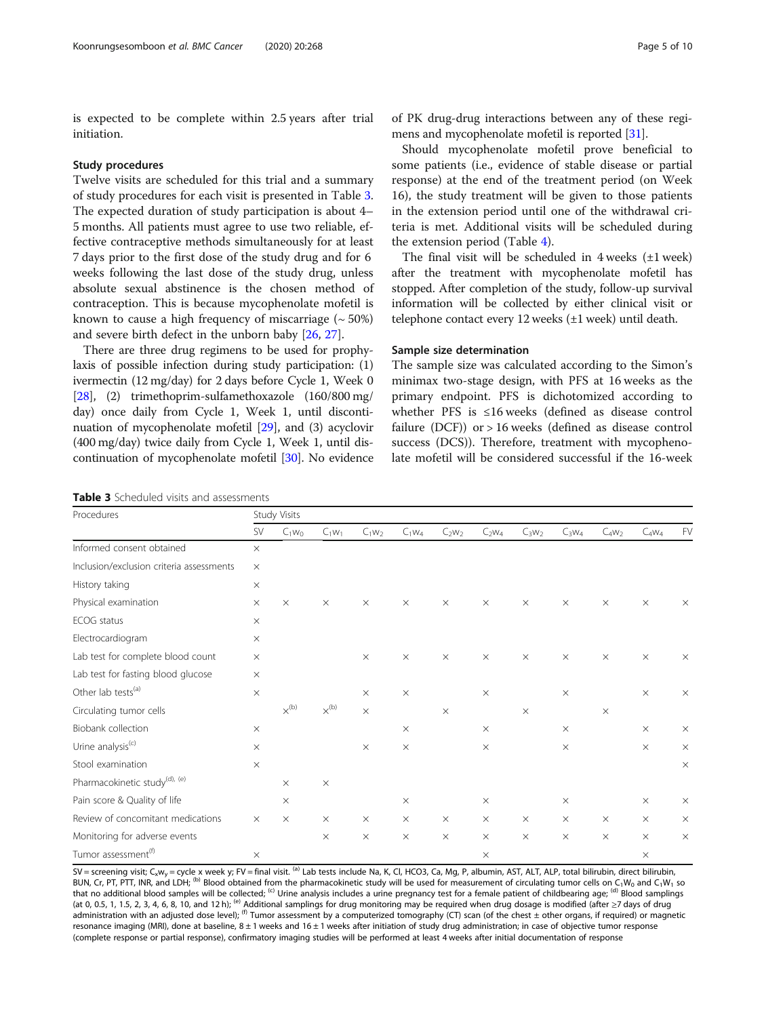is expected to be complete within 2.5 years after trial initiation.

#### Study procedures

Twelve visits are scheduled for this trial and a summary of study procedures for each visit is presented in Table 3. The expected duration of study participation is about 4– 5 months. All patients must agree to use two reliable, effective contraceptive methods simultaneously for at least 7 days prior to the first dose of the study drug and for 6 weeks following the last dose of the study drug, unless absolute sexual abstinence is the chosen method of contraception. This is because mycophenolate mofetil is known to cause a high frequency of miscarriage  $($   $\sim$  50%) and severe birth defect in the unborn baby [[26,](#page-8-0) [27](#page-8-0)].

There are three drug regimens to be used for prophylaxis of possible infection during study participation: (1) ivermectin (12 mg/day) for 2 days before Cycle 1, Week 0 [[28](#page-8-0)], (2) trimethoprim-sulfamethoxazole (160/800 mg/ day) once daily from Cycle 1, Week 1, until discontinuation of mycophenolate mofetil [\[29\]](#page-8-0), and (3) acyclovir (400 mg/day) twice daily from Cycle 1, Week 1, until discontinuation of mycophenolate mofetil [[30](#page-8-0)]. No evidence

| <b>Table 3</b> Scheduled visits and assessments |  |
|-------------------------------------------------|--|
|-------------------------------------------------|--|

of PK drug-drug interactions between any of these regimens and mycophenolate mofetil is reported [\[31\]](#page-8-0).

Should mycophenolate mofetil prove beneficial to some patients (i.e., evidence of stable disease or partial response) at the end of the treatment period (on Week 16), the study treatment will be given to those patients in the extension period until one of the withdrawal criteria is met. Additional visits will be scheduled during the extension period (Table [4\)](#page-5-0).

The final visit will be scheduled in  $4$  weeks  $(\pm 1$  week) after the treatment with mycophenolate mofetil has stopped. After completion of the study, follow-up survival information will be collected by either clinical visit or telephone contact every 12 weeks (±1 week) until death.

#### Sample size determination

The sample size was calculated according to the Simon's minimax two-stage design, with PFS at 16 weeks as the primary endpoint. PFS is dichotomized according to whether PFS is ≤16 weeks (defined as disease control failure (DCF)) or > 16 weeks (defined as disease control success (DCS)). Therefore, treatment with mycophenolate mofetil will be considered successful if the 16-week

| Procedures                                | Study Visits |           |                         |          |          |          |          |          |          |          |          |           |
|-------------------------------------------|--------------|-----------|-------------------------|----------|----------|----------|----------|----------|----------|----------|----------|-----------|
|                                           | SV           | $C_1W_0$  | $C_1W_1$                | $C_1W_2$ | $C_1w_4$ | $C_2W_2$ | $C_2W_4$ | $C_3W_2$ | $C_3W_4$ | $C_4W_2$ | $C_4W_4$ | <b>FV</b> |
| Informed consent obtained                 | $\times$     |           |                         |          |          |          |          |          |          |          |          |           |
| Inclusion/exclusion criteria assessments  | $\times$     |           |                         |          |          |          |          |          |          |          |          |           |
| History taking                            | $\times$     |           |                         |          |          |          |          |          |          |          |          |           |
| Physical examination                      | $\times$     | $\times$  | $\times$                | $\times$ | $\times$ | $\times$ | $\times$ | $\times$ | $\times$ | $\times$ | $\times$ | $\times$  |
| ECOG status                               | $\times$     |           |                         |          |          |          |          |          |          |          |          |           |
| Electrocardiogram                         | $\times$     |           |                         |          |          |          |          |          |          |          |          |           |
| Lab test for complete blood count         | $\times$     |           |                         | $\times$ | $\times$ | $\times$ | $\times$ | $\times$ | $\times$ | $\times$ | $\times$ | $\times$  |
| Lab test for fasting blood glucose        | $\times$     |           |                         |          |          |          |          |          |          |          |          |           |
| Other lab tests <sup>(a)</sup>            | $\times$     |           |                         | $\times$ | $\times$ |          | $\times$ |          | $\times$ |          | $\times$ | $\times$  |
| Circulating tumor cells                   |              | $x^{(b)}$ | $\times^{(\mathsf{b})}$ | $\times$ |          | $\times$ |          | $\times$ |          | $\times$ |          |           |
| Biobank collection                        | $\times$     |           |                         |          | $\times$ |          | $\times$ |          | $\times$ |          | $\times$ | $\times$  |
| Urine analysis <sup>(c)</sup>             | $\times$     |           |                         | $\times$ | $\times$ |          | $\times$ |          | $\times$ |          | $\times$ | $\times$  |
| Stool examination                         | $\times$     |           |                         |          |          |          |          |          |          |          |          | $\times$  |
| Pharmacokinetic study <sup>(d), (e)</sup> |              | $\times$  | $\times$                |          |          |          |          |          |          |          |          |           |
| Pain score & Quality of life              |              | $\times$  |                         |          | $\times$ |          | $\times$ |          | $\times$ |          | $\times$ | $\times$  |
| Review of concomitant medications         | $\times$     | $\times$  | $\times$                | $\times$ | $\times$ | $\times$ | $\times$ | $\times$ | $\times$ | $\times$ | $\times$ | $\times$  |
| Monitoring for adverse events             |              |           | $\times$                | $\times$ | $\times$ | $\times$ | $\times$ | $\times$ | $\times$ | $\times$ | $\times$ | $\times$  |
| Tumor assessment <sup>(f)</sup>           | $\times$     |           |                         |          |          |          | $\times$ |          |          |          | $\times$ |           |

SV = screening visit; C<sub>x</sub>w<sub>y</sub> = cycle x week y; FV = final visit. <sup>(a)</sup> Lab tests include Na, K, Cl, HCO3, Ca, Mg, P, albumin, AST, ALT, ALP, total bilirubin, direct bilirubin, BUN, Cr, PT, PTT, INR, and LDH; <sup>(b)</sup> Blood obtained from the pharmacokinetic study will be used for measurement of circulating tumor cells on C<sub>1</sub>W<sub>0</sub> and C<sub>1</sub>W<sub>1</sub> so that no additional blood samples will be collected; <sup>(c)</sup> Urine analysis includes a urine pregnancy test for a female patient of childbearing age; <sup>(d)</sup> Blood samplings (at 0, 0.5, 1, 1.5, 2, 3, 4, 6, 8, 10, and 12 h); <sup>(e)</sup> Additional samplings for drug monitoring may be required when drug dosage is modified (after ≥7 days of drug administration with an adjusted dose level); <sup>(f)</sup> Tumor assessment by a computerized tomography (CT) scan (of the chest  $\pm$  other organs, if required) or magnetic resonance imaging (MRI), done at baseline,  $8 \pm 1$  weeks and  $16 \pm 1$  weeks after initiation of study drug administration; in case of objective tumor response (complete response or partial response), confirmatory imaging studies will be performed at least 4 weeks after initial documentation of response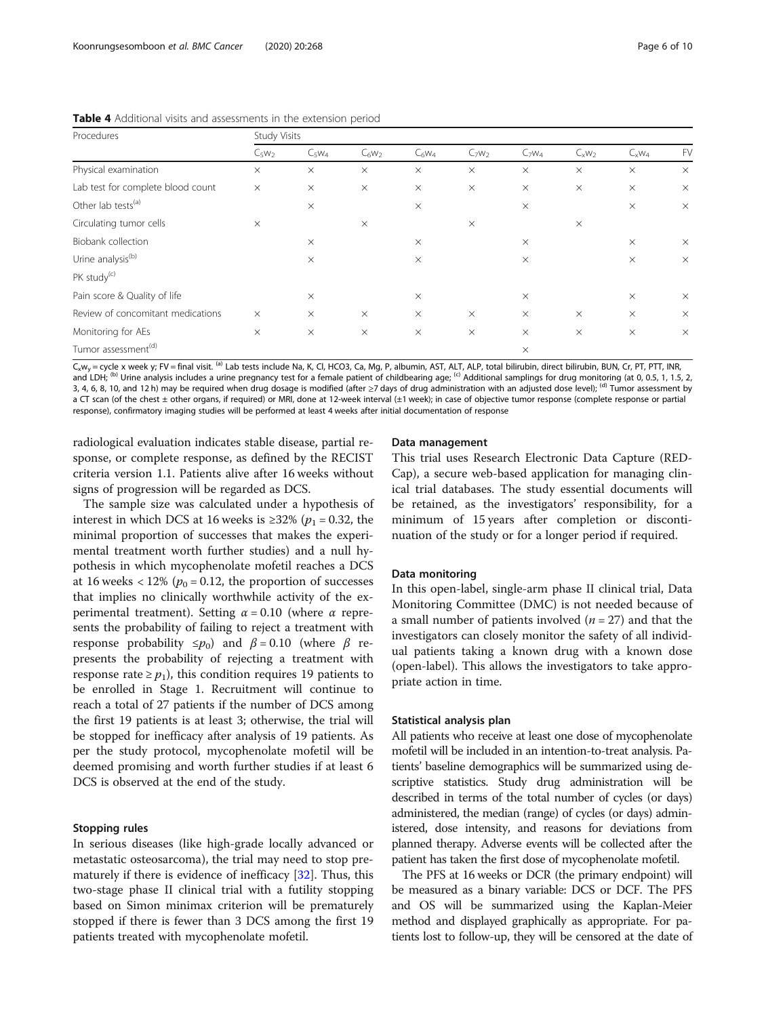<span id="page-5-0"></span>Table 4 Additional visits and assessments in the extension period

| Procedures                        | <b>Study Visits</b> |          |          |          |          |          |          |              |          |
|-----------------------------------|---------------------|----------|----------|----------|----------|----------|----------|--------------|----------|
|                                   | $C_5W_2$            | $C_5W_4$ | $C_6W_2$ | $C_6W_4$ | $C_7W_2$ | $C_7W_4$ | $C_xW_2$ | $C_{x}W_{4}$ | FV       |
| Physical examination              | $\times$            | $\times$ | $\times$ | $\times$ | $\times$ | $\times$ | $\times$ | $\times$     | $\times$ |
| Lab test for complete blood count | $\times$            | $\times$ | $\times$ | $\times$ | $\times$ | $\times$ | $\times$ | $\times$     | $\times$ |
| Other lab tests <sup>(a)</sup>    |                     | $\times$ |          | $\times$ |          | $\times$ |          | $\times$     | $\times$ |
| Circulating tumor cells           | $\times$            |          | $\times$ |          | $\times$ |          | $\times$ |              |          |
| Biobank collection                |                     | $\times$ |          | $\times$ |          | $\times$ |          | $\times$     | $\times$ |
| Urine analysis <sup>(b)</sup>     |                     | $\times$ |          | $\times$ |          | $\times$ |          | $\times$     | $\times$ |
| PK study <sup>(c)</sup>           |                     |          |          |          |          |          |          |              |          |
| Pain score & Quality of life      |                     | $\times$ |          | $\times$ |          | $\times$ |          | $\times$     | $\times$ |
| Review of concomitant medications | $\times$            | $\times$ | $\times$ | $\times$ | $\times$ | $\times$ | $\times$ | $\times$     | $\times$ |
| Monitoring for AEs                | $\times$            | $\times$ | $\times$ | $\times$ | $\times$ | $\times$ | $\times$ | $\times$     | $\times$ |
| Tumor assessment <sup>(d)</sup>   |                     |          |          |          |          | $\times$ |          |              |          |

 $C_xw_y =$  cycle x week y; FV = final visit. <sup>(a)</sup> Lab tests include Na, K, Cl, HCO3, Ca, Mg, P, albumin, AST, ALT, ALP, total bilirubin, direct bilirubin, BUN, Cr, PT, PTT, INR, and LDH; <sup>(b)</sup> Urine analysis includes a urine pregnancy test for a female patient of childbearing age; <sup>(c)</sup> Additional samplings for drug monitoring (at 0, 0.5, 1, 1.5, 2, 3, 4, 6, 8, 10, and 12 h) may be required when drug dosage is modified (after ≥7 days of drug administration with an adjusted dose level); (d) Tumor assessment by a CT scan (of the chest ± other organs, if required) or MRI, done at 12-week interval (±1 week); in case of objective tumor response (complete response or partial response), confirmatory imaging studies will be performed at least 4 weeks after initial documentation of response

radiological evaluation indicates stable disease, partial response, or complete response, as defined by the RECIST criteria version 1.1. Patients alive after 16 weeks without signs of progression will be regarded as DCS.

The sample size was calculated under a hypothesis of interest in which DCS at 16 weeks is  $\geq$ 32% ( $p_1$  = 0.32, the minimal proportion of successes that makes the experimental treatment worth further studies) and a null hypothesis in which mycophenolate mofetil reaches a DCS at 16 weeks < 12% ( $p_0$  = 0.12, the proportion of successes that implies no clinically worthwhile activity of the experimental treatment). Setting  $\alpha = 0.10$  (where  $\alpha$  represents the probability of failing to reject a treatment with response probability  $\leq p_0$ ) and  $\beta = 0.10$  (where  $\beta$  represents the probability of rejecting a treatment with response rate  $\geq p_1$ ), this condition requires 19 patients to be enrolled in Stage 1. Recruitment will continue to reach a total of 27 patients if the number of DCS among the first 19 patients is at least 3; otherwise, the trial will be stopped for inefficacy after analysis of 19 patients. As per the study protocol, mycophenolate mofetil will be deemed promising and worth further studies if at least 6 DCS is observed at the end of the study.

#### Stopping rules

In serious diseases (like high-grade locally advanced or metastatic osteosarcoma), the trial may need to stop prematurely if there is evidence of inefficacy [\[32](#page-8-0)]. Thus, this two-stage phase II clinical trial with a futility stopping based on Simon minimax criterion will be prematurely stopped if there is fewer than 3 DCS among the first 19 patients treated with mycophenolate mofetil.

#### Data management

This trial uses Research Electronic Data Capture (RED-Cap), a secure web-based application for managing clinical trial databases. The study essential documents will be retained, as the investigators' responsibility, for a minimum of 15 years after completion or discontinuation of the study or for a longer period if required.

#### Data monitoring

In this open-label, single-arm phase II clinical trial, Data Monitoring Committee (DMC) is not needed because of a small number of patients involved  $(n = 27)$  and that the investigators can closely monitor the safety of all individual patients taking a known drug with a known dose (open-label). This allows the investigators to take appropriate action in time.

#### Statistical analysis plan

All patients who receive at least one dose of mycophenolate mofetil will be included in an intention-to-treat analysis. Patients' baseline demographics will be summarized using descriptive statistics. Study drug administration will be described in terms of the total number of cycles (or days) administered, the median (range) of cycles (or days) administered, dose intensity, and reasons for deviations from planned therapy. Adverse events will be collected after the patient has taken the first dose of mycophenolate mofetil.

The PFS at 16 weeks or DCR (the primary endpoint) will be measured as a binary variable: DCS or DCF. The PFS and OS will be summarized using the Kaplan-Meier method and displayed graphically as appropriate. For patients lost to follow-up, they will be censored at the date of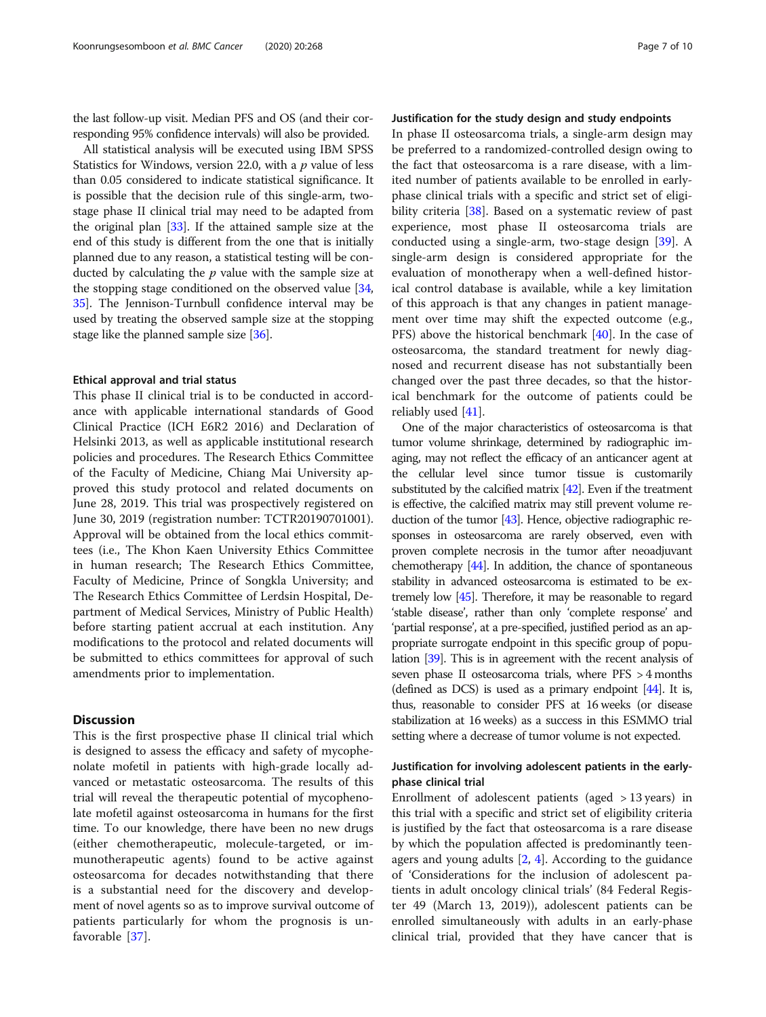the last follow-up visit. Median PFS and OS (and their corresponding 95% confidence intervals) will also be provided.

All statistical analysis will be executed using IBM SPSS Statistics for Windows, version 22.0, with a  $p$  value of less than 0.05 considered to indicate statistical significance. It is possible that the decision rule of this single-arm, twostage phase II clinical trial may need to be adapted from the original plan [[33](#page-8-0)]. If the attained sample size at the end of this study is different from the one that is initially planned due to any reason, a statistical testing will be conducted by calculating the  $p$  value with the sample size at the stopping stage conditioned on the observed value [[34](#page-8-0), [35](#page-8-0)]. The Jennison-Turnbull confidence interval may be used by treating the observed sample size at the stopping stage like the planned sample size [\[36\]](#page-8-0).

#### Ethical approval and trial status

This phase II clinical trial is to be conducted in accordance with applicable international standards of Good Clinical Practice (ICH E6R2 2016) and Declaration of Helsinki 2013, as well as applicable institutional research policies and procedures. The Research Ethics Committee of the Faculty of Medicine, Chiang Mai University approved this study protocol and related documents on June 28, 2019. This trial was prospectively registered on June 30, 2019 (registration number: TCTR20190701001). Approval will be obtained from the local ethics committees (i.e., The Khon Kaen University Ethics Committee in human research; The Research Ethics Committee, Faculty of Medicine, Prince of Songkla University; and The Research Ethics Committee of Lerdsin Hospital, Department of Medical Services, Ministry of Public Health) before starting patient accrual at each institution. Any modifications to the protocol and related documents will be submitted to ethics committees for approval of such amendments prior to implementation.

#### **Discussion**

This is the first prospective phase II clinical trial which is designed to assess the efficacy and safety of mycophenolate mofetil in patients with high-grade locally advanced or metastatic osteosarcoma. The results of this trial will reveal the therapeutic potential of mycophenolate mofetil against osteosarcoma in humans for the first time. To our knowledge, there have been no new drugs (either chemotherapeutic, molecule-targeted, or immunotherapeutic agents) found to be active against osteosarcoma for decades notwithstanding that there is a substantial need for the discovery and development of novel agents so as to improve survival outcome of patients particularly for whom the prognosis is unfavorable [[37\]](#page-8-0).

#### Justification for the study design and study endpoints

In phase II osteosarcoma trials, a single-arm design may be preferred to a randomized-controlled design owing to the fact that osteosarcoma is a rare disease, with a limited number of patients available to be enrolled in earlyphase clinical trials with a specific and strict set of eligi-bility criteria [[38\]](#page-9-0). Based on a systematic review of past experience, most phase II osteosarcoma trials are conducted using a single-arm, two-stage design [\[39](#page-9-0)]. A single-arm design is considered appropriate for the evaluation of monotherapy when a well-defined historical control database is available, while a key limitation of this approach is that any changes in patient management over time may shift the expected outcome (e.g., PFS) above the historical benchmark [\[40](#page-9-0)]. In the case of osteosarcoma, the standard treatment for newly diagnosed and recurrent disease has not substantially been changed over the past three decades, so that the historical benchmark for the outcome of patients could be reliably used [\[41\]](#page-9-0).

One of the major characteristics of osteosarcoma is that tumor volume shrinkage, determined by radiographic imaging, may not reflect the efficacy of an anticancer agent at the cellular level since tumor tissue is customarily substituted by the calcified matrix [\[42\]](#page-9-0). Even if the treatment is effective, the calcified matrix may still prevent volume reduction of the tumor [[43\]](#page-9-0). Hence, objective radiographic responses in osteosarcoma are rarely observed, even with proven complete necrosis in the tumor after neoadjuvant chemotherapy [\[44\]](#page-9-0). In addition, the chance of spontaneous stability in advanced osteosarcoma is estimated to be extremely low [\[45](#page-9-0)]. Therefore, it may be reasonable to regard 'stable disease', rather than only 'complete response' and 'partial response', at a pre-specified, justified period as an appropriate surrogate endpoint in this specific group of population [\[39](#page-9-0)]. This is in agreement with the recent analysis of seven phase II osteosarcoma trials, where PFS > 4 months (defined as DCS) is used as a primary endpoint [[44](#page-9-0)]. It is, thus, reasonable to consider PFS at 16 weeks (or disease stabilization at 16 weeks) as a success in this ESMMO trial setting where a decrease of tumor volume is not expected.

## Justification for involving adolescent patients in the earlyphase clinical trial

Enrollment of adolescent patients (aged > 13 years) in this trial with a specific and strict set of eligibility criteria is justified by the fact that osteosarcoma is a rare disease by which the population affected is predominantly teenagers and young adults [[2,](#page-8-0) [4\]](#page-8-0). According to the guidance of 'Considerations for the inclusion of adolescent patients in adult oncology clinical trials' (84 Federal Register 49 (March 13, 2019)), adolescent patients can be enrolled simultaneously with adults in an early-phase clinical trial, provided that they have cancer that is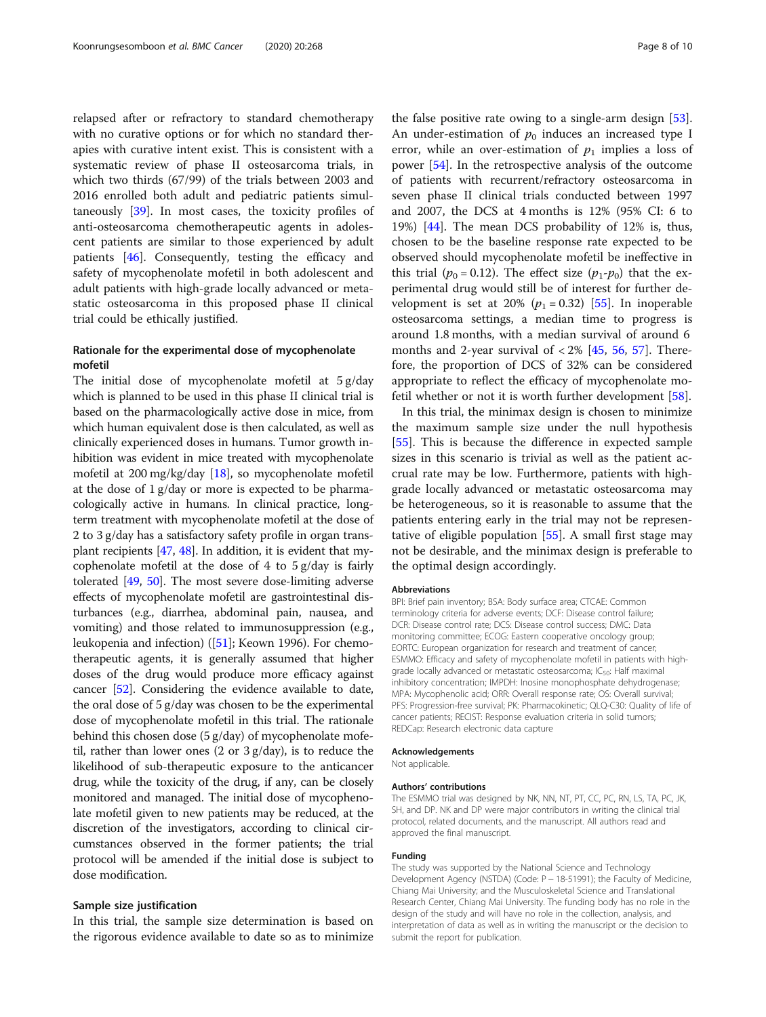relapsed after or refractory to standard chemotherapy with no curative options or for which no standard therapies with curative intent exist. This is consistent with a systematic review of phase II osteosarcoma trials, in which two thirds (67/99) of the trials between 2003 and 2016 enrolled both adult and pediatric patients simultaneously [[39\]](#page-9-0). In most cases, the toxicity profiles of anti-osteosarcoma chemotherapeutic agents in adolescent patients are similar to those experienced by adult patients [[46](#page-9-0)]. Consequently, testing the efficacy and safety of mycophenolate mofetil in both adolescent and adult patients with high-grade locally advanced or metastatic osteosarcoma in this proposed phase II clinical trial could be ethically justified.

#### Rationale for the experimental dose of mycophenolate mofetil

The initial dose of mycophenolate mofetil at 5 g/day which is planned to be used in this phase II clinical trial is based on the pharmacologically active dose in mice, from which human equivalent dose is then calculated, as well as clinically experienced doses in humans. Tumor growth inhibition was evident in mice treated with mycophenolate mofetil at 200 mg/kg/day [\[18\]](#page-8-0), so mycophenolate mofetil at the dose of 1 g/day or more is expected to be pharmacologically active in humans. In clinical practice, longterm treatment with mycophenolate mofetil at the dose of 2 to 3 g/day has a satisfactory safety profile in organ transplant recipients [[47](#page-9-0), [48\]](#page-9-0). In addition, it is evident that mycophenolate mofetil at the dose of 4 to 5 g/day is fairly tolerated [[49](#page-9-0), [50\]](#page-9-0). The most severe dose-limiting adverse effects of mycophenolate mofetil are gastrointestinal disturbances (e.g., diarrhea, abdominal pain, nausea, and vomiting) and those related to immunosuppression (e.g., leukopenia and infection) ([[51](#page-9-0)]; Keown 1996). For chemotherapeutic agents, it is generally assumed that higher doses of the drug would produce more efficacy against cancer [[52](#page-9-0)]. Considering the evidence available to date, the oral dose of 5 g/day was chosen to be the experimental dose of mycophenolate mofetil in this trial. The rationale behind this chosen dose (5 g/day) of mycophenolate mofetil, rather than lower ones (2 or 3 g/day), is to reduce the likelihood of sub-therapeutic exposure to the anticancer drug, while the toxicity of the drug, if any, can be closely monitored and managed. The initial dose of mycophenolate mofetil given to new patients may be reduced, at the discretion of the investigators, according to clinical circumstances observed in the former patients; the trial protocol will be amended if the initial dose is subject to dose modification.

#### Sample size justification

In this trial, the sample size determination is based on the rigorous evidence available to date so as to minimize

the false positive rate owing to a single-arm design [\[53](#page-9-0)]. An under-estimation of  $p_0$  induces an increased type I error, while an over-estimation of  $p_1$  implies a loss of power [[54\]](#page-9-0). In the retrospective analysis of the outcome of patients with recurrent/refractory osteosarcoma in seven phase II clinical trials conducted between 1997 and 2007, the DCS at 4 months is 12% (95% CI: 6 to 19%) [\[44](#page-9-0)]. The mean DCS probability of 12% is, thus, chosen to be the baseline response rate expected to be observed should mycophenolate mofetil be ineffective in this trial ( $p_0 = 0.12$ ). The effect size ( $p_1-p_0$ ) that the experimental drug would still be of interest for further development is set at 20%  $(p_1 = 0.32)$  [[55](#page-9-0)]. In inoperable osteosarcoma settings, a median time to progress is around 1.8 months, with a median survival of around 6 months and 2-year survival of  $< 2\%$  [\[45](#page-9-0), [56,](#page-9-0) [57\]](#page-9-0). Therefore, the proportion of DCS of 32% can be considered appropriate to reflect the efficacy of mycophenolate mofetil whether or not it is worth further development [[58\]](#page-9-0).

In this trial, the minimax design is chosen to minimize the maximum sample size under the null hypothesis [[55\]](#page-9-0). This is because the difference in expected sample sizes in this scenario is trivial as well as the patient accrual rate may be low. Furthermore, patients with highgrade locally advanced or metastatic osteosarcoma may be heterogeneous, so it is reasonable to assume that the patients entering early in the trial may not be representative of eligible population [[55](#page-9-0)]. A small first stage may not be desirable, and the minimax design is preferable to the optimal design accordingly.

#### Abbreviations

BPI: Brief pain inventory; BSA: Body surface area; CTCAE: Common terminology criteria for adverse events; DCF: Disease control failure; DCR: Disease control rate; DCS: Disease control success; DMC: Data monitoring committee; ECOG: Eastern cooperative oncology group; EORTC: European organization for research and treatment of cancer; ESMMO: Efficacy and safety of mycophenolate mofetil in patients with highgrade locally advanced or metastatic osteosarcoma; IC<sub>50</sub>: Half maximal inhibitory concentration; IMPDH: Inosine monophosphate dehydrogenase; MPA: Mycophenolic acid; ORR: Overall response rate; OS: Overall survival; PFS: Progression-free survival; PK: Pharmacokinetic; QLQ-C30: Quality of life of cancer patients; RECIST: Response evaluation criteria in solid tumors; REDCap: Research electronic data capture

#### Acknowledgements

Not applicable.

#### Authors' contributions

The ESMMO trial was designed by NK, NN, NT, PT, CC, PC, RN, LS, TA, PC, JK, SH, and DP. NK and DP were major contributors in writing the clinical trial protocol, related documents, and the manuscript. All authors read and approved the final manuscript.

#### Funding

The study was supported by the National Science and Technology Development Agency (NSTDA) (Code: P − 18-51991); the Faculty of Medicine, Chiang Mai University; and the Musculoskeletal Science and Translational Research Center, Chiang Mai University. The funding body has no role in the design of the study and will have no role in the collection, analysis, and interpretation of data as well as in writing the manuscript or the decision to submit the report for publication.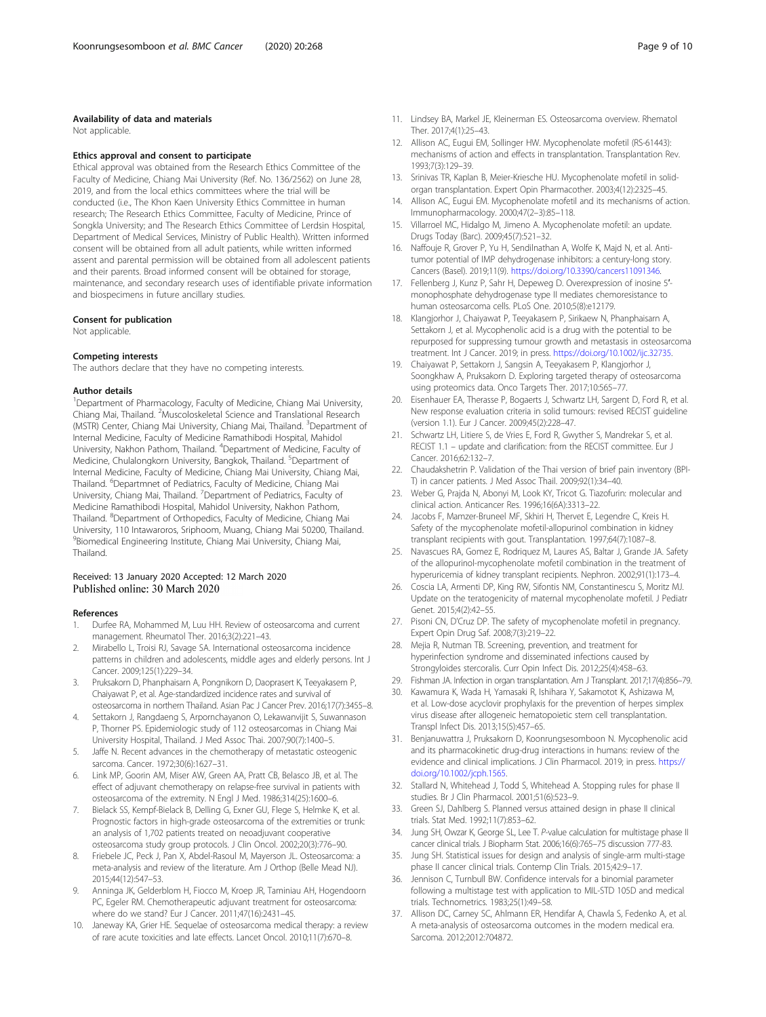#### <span id="page-8-0"></span>Availability of data and materials

Not applicable.

#### Ethics approval and consent to participate

Ethical approval was obtained from the Research Ethics Committee of the Faculty of Medicine, Chiang Mai University (Ref. No. 136/2562) on June 28, 2019, and from the local ethics committees where the trial will be conducted (i.e., The Khon Kaen University Ethics Committee in human research; The Research Ethics Committee, Faculty of Medicine, Prince of Songkla University; and The Research Ethics Committee of Lerdsin Hospital, Department of Medical Services, Ministry of Public Health). Written informed consent will be obtained from all adult patients, while written informed assent and parental permission will be obtained from all adolescent patients and their parents. Broad informed consent will be obtained for storage, maintenance, and secondary research uses of identifiable private information and biospecimens in future ancillary studies.

#### Consent for publication

Not applicable.

#### Competing interests

The authors declare that they have no competing interests.

#### Author details

<sup>1</sup>Department of Pharmacology, Faculty of Medicine, Chiang Mai University, Chiang Mai, Thailand. <sup>2</sup>Muscoloskeletal Science and Translational Research (MSTR) Center, Chiang Mai University, Chiang Mai, Thailand. <sup>3</sup>Department of Internal Medicine, Faculty of Medicine Ramathibodi Hospital, Mahidol University, Nakhon Pathom, Thailand. <sup>4</sup>Department of Medicine, Faculty of Medicine, Chulalongkorn University, Bangkok, Thailand. <sup>5</sup>Department of Internal Medicine, Faculty of Medicine, Chiang Mai University, Chiang Mai, Thailand. <sup>6</sup> Departmnet of Pediatrics, Faculty of Medicine, Chiang Mai University, Chiang Mai, Thailand. <sup>7</sup> Department of Pediatrics, Faculty of Medicine Ramathibodi Hospital, Mahidol University, Nakhon Pathom, Thailand. <sup>8</sup>Department of Orthopedics, Faculty of Medicine, Chiang Mai University, 110 Intawaroros, Sriphoom, Muang, Chiang Mai 50200, Thailand. 9 Biomedical Engineering Institute, Chiang Mai University, Chiang Mai, Thailand.

#### Received: 13 January 2020 Accepted: 12 March 2020 Published online: 30 March 2020

#### References

- 1. Durfee RA, Mohammed M, Luu HH. Review of osteosarcoma and current management. Rheumatol Ther. 2016;3(2):221–43.
- 2. Mirabello L, Troisi RJ, Savage SA. International osteosarcoma incidence patterns in children and adolescents, middle ages and elderly persons. Int J Cancer. 2009;125(1):229–34.
- 3. Pruksakorn D, Phanphaisarn A, Pongnikorn D, Daoprasert K, Teeyakasem P, Chaiyawat P, et al. Age-standardized incidence rates and survival of osteosarcoma in northern Thailand. Asian Pac J Cancer Prev. 2016;17(7):3455–8.
- 4. Settakorn J, Rangdaeng S, Arpornchayanon O, Lekawanvijit S, Suwannason P, Thorner PS. Epidemiologic study of 112 osteosarcomas in Chiang Mai University Hospital, Thailand. J Med Assoc Thai. 2007;90(7):1400–5.
- Jaffe N. Recent advances in the chemotherapy of metastatic osteogenic sarcoma. Cancer. 1972;30(6):1627–31.
- 6. Link MP, Goorin AM, Miser AW, Green AA, Pratt CB, Belasco JB, et al. The effect of adjuvant chemotherapy on relapse-free survival in patients with osteosarcoma of the extremity. N Engl J Med. 1986;314(25):1600–6.
- 7. Bielack SS, Kempf-Bielack B, Delling G, Exner GU, Flege S, Helmke K, et al. Prognostic factors in high-grade osteosarcoma of the extremities or trunk: an analysis of 1,702 patients treated on neoadjuvant cooperative osteosarcoma study group protocols. J Clin Oncol. 2002;20(3):776–90.
- 8. Friebele JC, Peck J, Pan X, Abdel-Rasoul M, Mayerson JL. Osteosarcoma: a meta-analysis and review of the literature. Am J Orthop (Belle Mead NJ). 2015;44(12):547–53.
- 9. Anninga JK, Gelderblom H, Fiocco M, Kroep JR, Taminiau AH, Hogendoorn PC, Egeler RM. Chemotherapeutic adjuvant treatment for osteosarcoma: where do we stand? Eur J Cancer. 2011;47(16):2431–45.
- 10. Janeway KA, Grier HE. Sequelae of osteosarcoma medical therapy: a review of rare acute toxicities and late effects. Lancet Oncol. 2010;11(7):670–8.
- 11. Lindsey BA, Markel JE, Kleinerman ES. Osteosarcoma overview. Rhematol Ther. 2017;4(1):25–43.
- 12. Allison AC, Eugui EM, Sollinger HW. Mycophenolate mofetil (RS-61443): mechanisms of action and effects in transplantation. Transplantation Rev. 1993;7(3):129–39.
- 13. Srinivas TR, Kaplan B, Meier-Kriesche HU. Mycophenolate mofetil in solidorgan transplantation. Expert Opin Pharmacother. 2003;4(12):2325–45.
- 14. Allison AC, Eugui EM. Mycophenolate mofetil and its mechanisms of action. Immunopharmacology. 2000;47(2–3):85–118.
- 15. Villarroel MC, Hidalgo M, Jimeno A. Mycophenolate mofetil: an update. Drugs Today (Barc). 2009;45(7):521–32.
- 16. Naffouje R, Grover P, Yu H, Sendilnathan A, Wolfe K, Majd N, et al. Antitumor potential of IMP dehydrogenase inhibitors: a century-long story. Cancers (Basel). 2019;11(9). <https://doi.org/10.3390/cancers11091346>.
- 17. Fellenberg J, Kunz P, Sahr H, Depeweg D. Overexpression of inosine 5'monophosphate dehydrogenase type II mediates chemoresistance to human osteosarcoma cells. PLoS One. 2010;5(8):e12179.
- 18. Klangjorhor J, Chaiyawat P, Teeyakasem P, Sirikaew N, Phanphaisarn A, Settakorn J, et al. Mycophenolic acid is a drug with the potential to be repurposed for suppressing tumour growth and metastasis in osteosarcoma treatment. Int J Cancer. 2019; in press. <https://doi.org/10.1002/ijc.32735>.
- 19. Chaiyawat P, Settakorn J, Sangsin A, Teeyakasem P, Klangjorhor J, Soongkhaw A, Pruksakorn D. Exploring targeted therapy of osteosarcoma using proteomics data. Onco Targets Ther. 2017;10:565–77.
- 20. Eisenhauer EA, Therasse P, Bogaerts J, Schwartz LH, Sargent D, Ford R, et al. New response evaluation criteria in solid tumours: revised RECIST guideline (version 1.1). Eur J Cancer. 2009;45(2):228–47.
- 21. Schwartz LH, Litiere S, de Vries E, Ford R, Gwyther S, Mandrekar S, et al. RECIST 1.1 – update and clarification: from the RECIST committee. Eur J Cancer. 2016;62:132–7.
- 22. Chaudakshetrin P. Validation of the Thai version of brief pain inventory (BPI-T) in cancer patients. J Med Assoc Thail. 2009;92(1):34–40.
- 23. Weber G, Prajda N, Abonyi M, Look KY, Tricot G. Tiazofurin: molecular and clinical action. Anticancer Res. 1996;16(6A):3313–22.
- 24. Jacobs F, Mamzer-Bruneel MF, Skhiri H, Thervet E, Legendre C, Kreis H. Safety of the mycophenolate mofetil-allopurinol combination in kidney transplant recipients with gout. Transplantation. 1997;64(7):1087–8.
- 25. Navascues RA, Gomez E, Rodriquez M, Laures AS, Baltar J, Grande JA. Safety of the allopurinol-mycophenolate mofetil combination in the treatment of hyperuricemia of kidney transplant recipients. Nephron. 2002;91(1):173–4.
- 26. Coscia LA, Armenti DP, King RW, Sifontis NM, Constantinescu S, Moritz MJ. Update on the teratogenicity of maternal mycophenolate mofetil. J Pediatr Genet. 2015;4(2):42–55.
- 27. Pisoni CN, D'Cruz DP. The safety of mycophenolate mofetil in pregnancy. Expert Opin Drug Saf. 2008;7(3):219–22.
- 28. Mejia R, Nutman TB. Screening, prevention, and treatment for hyperinfection syndrome and disseminated infections caused by Strongyloides stercoralis. Curr Opin Infect Dis. 2012;25(4):458–63.
- 29. Fishman JA. Infection in organ transplantation. Am J Transplant. 2017;17(4):856–79.
- 30. Kawamura K, Wada H, Yamasaki R, Ishihara Y, Sakamotot K, Ashizawa M, et al. Low-dose acyclovir prophylaxis for the prevention of herpes simplex virus disease after allogeneic hematopoietic stem cell transplantation. Transpl Infect Dis. 2013;15(5):457–65.
- 31. Benjanuwattra J, Pruksakorn D, Koonrungsesomboon N. Mycophenolic acid and its pharmacokinetic drug-drug interactions in humans: review of the evidence and clinical implications. J Clin Pharmacol. 2019; in press. [https://](https://doi.org/10.1002/jcph.1565) [doi.org/10.1002/jcph.1565](https://doi.org/10.1002/jcph.1565).
- 32. Stallard N, Whitehead J, Todd S, Whitehead A. Stopping rules for phase II studies. Br J Clin Pharmacol. 2001;51(6):523–9.
- 33. Green SJ, Dahlberg S. Planned versus attained design in phase II clinical trials. Stat Med. 1992;11(7):853–62.
- 34. Jung SH, Owzar K, George SL, Lee T. P-value calculation for multistage phase II cancer clinical trials. J Biopharm Stat. 2006;16(6):765–75 discussion 777-83.
- 35. Jung SH. Statistical issues for design and analysis of single-arm multi-stage phase II cancer clinical trials. Contemp Clin Trials. 2015;42:9–17.
- 36. Jennison C, Turnbull BW. Confidence intervals for a binomial parameter following a multistage test with application to MIL-STD 105D and medical trials. Technometrics. 1983;25(1):49–58.
- 37. Allison DC, Carney SC, Ahlmann ER, Hendifar A, Chawla S, Fedenko A, et al. A meta-analysis of osteosarcoma outcomes in the modern medical era. Sarcoma. 2012;2012:704872.